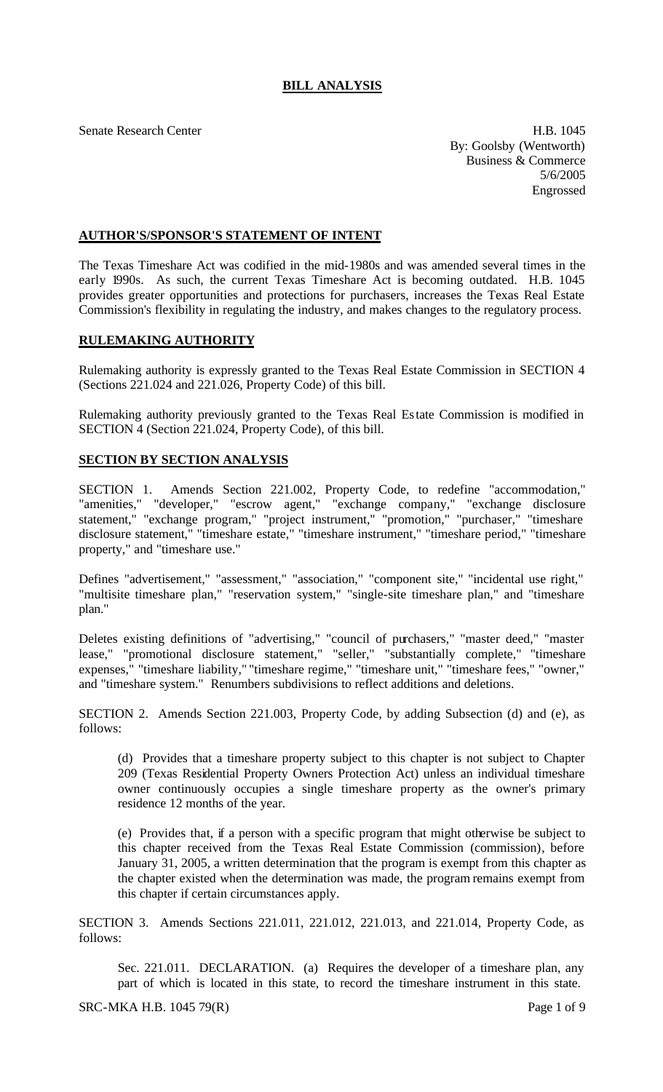## **BILL ANALYSIS**

Senate Research Center **H.B. 1045** By: Goolsby (Wentworth) Business & Commerce 5/6/2005 Engrossed

## **AUTHOR'S/SPONSOR'S STATEMENT OF INTENT**

The Texas Timeshare Act was codified in the mid-1980s and was amended several times in the early 1990s. As such, the current Texas Timeshare Act is becoming outdated. H.B. 1045 provides greater opportunities and protections for purchasers, increases the Texas Real Estate Commission's flexibility in regulating the industry, and makes changes to the regulatory process.

## **RULEMAKING AUTHORITY**

Rulemaking authority is expressly granted to the Texas Real Estate Commission in SECTION 4 (Sections 221.024 and 221.026, Property Code) of this bill.

Rulemaking authority previously granted to the Texas Real Estate Commission is modified in SECTION 4 (Section 221.024, Property Code), of this bill.

## **SECTION BY SECTION ANALYSIS**

SECTION 1. Amends Section 221.002, Property Code, to redefine "accommodation," "amenities," "developer," "escrow agent," "exchange company," "exchange disclosure statement," "exchange program," "project instrument," "promotion," "purchaser," "timeshare disclosure statement," "timeshare estate," "timeshare instrument," "timeshare period," "timeshare property," and "timeshare use."

Defines "advertisement," "assessment," "association," "component site," "incidental use right," "multisite timeshare plan," "reservation system," "single-site timeshare plan," and "timeshare plan."

Deletes existing definitions of "advertising," "council of purchasers," "master deed," "master lease," "promotional disclosure statement," "seller," "substantially complete," "timeshare expenses," "timeshare liability," "timeshare regime," "timeshare unit," "timeshare fees," "owner," and "timeshare system." Renumbers subdivisions to reflect additions and deletions.

SECTION 2. Amends Section 221.003, Property Code, by adding Subsection (d) and (e), as follows:

(d) Provides that a timeshare property subject to this chapter is not subject to Chapter 209 (Texas Residential Property Owners Protection Act) unless an individual timeshare owner continuously occupies a single timeshare property as the owner's primary residence 12 months of the year.

(e) Provides that, if a person with a specific program that might otherwise be subject to this chapter received from the Texas Real Estate Commission (commission), before January 31, 2005, a written determination that the program is exempt from this chapter as the chapter existed when the determination was made, the program remains exempt from this chapter if certain circumstances apply.

SECTION 3. Amends Sections 221.011, 221.012, 221.013, and 221.014, Property Code, as follows:

Sec. 221.011. DECLARATION. (a) Requires the developer of a timeshare plan, any part of which is located in this state, to record the timeshare instrument in this state.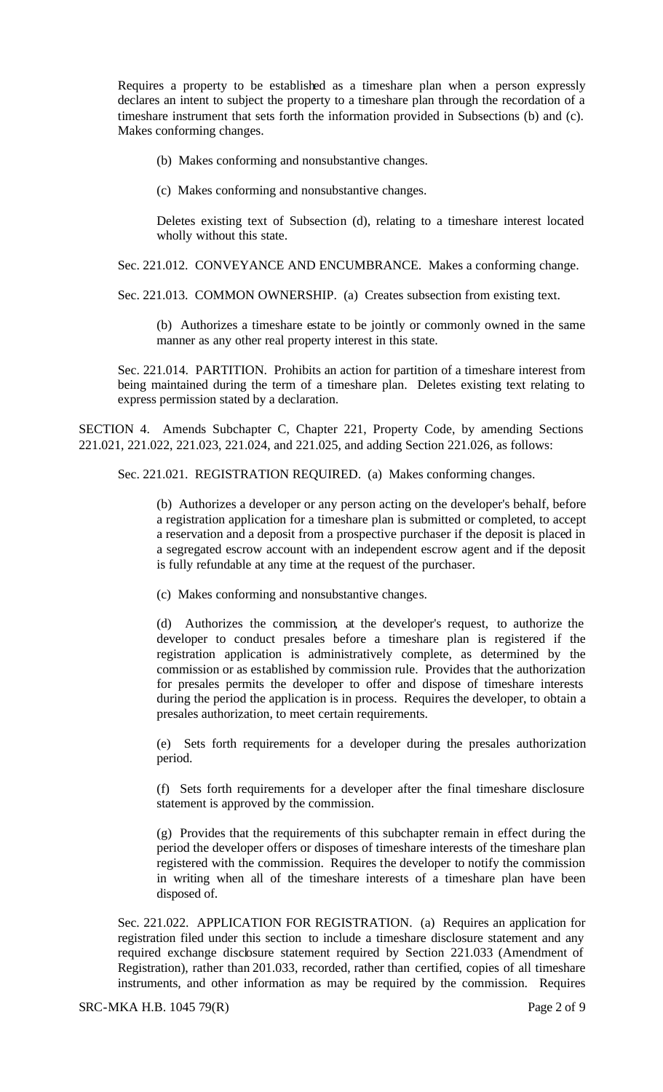Requires a property to be established as a timeshare plan when a person expressly declares an intent to subject the property to a timeshare plan through the recordation of a timeshare instrument that sets forth the information provided in Subsections (b) and (c). Makes conforming changes.

- (b) Makes conforming and nonsubstantive changes.
- (c) Makes conforming and nonsubstantive changes.

Deletes existing text of Subsection (d), relating to a timeshare interest located wholly without this state.

Sec. 221.012. CONVEYANCE AND ENCUMBRANCE. Makes a conforming change.

Sec. 221.013. COMMON OWNERSHIP. (a) Creates subsection from existing text.

(b) Authorizes a timeshare estate to be jointly or commonly owned in the same manner as any other real property interest in this state.

Sec. 221.014. PARTITION. Prohibits an action for partition of a timeshare interest from being maintained during the term of a timeshare plan. Deletes existing text relating to express permission stated by a declaration.

SECTION 4. Amends Subchapter C, Chapter 221, Property Code, by amending Sections 221.021, 221.022, 221.023, 221.024, and 221.025, and adding Section 221.026, as follows:

Sec. 221.021. REGISTRATION REQUIRED. (a) Makes conforming changes.

(b) Authorizes a developer or any person acting on the developer's behalf, before a registration application for a timeshare plan is submitted or completed, to accept a reservation and a deposit from a prospective purchaser if the deposit is placed in a segregated escrow account with an independent escrow agent and if the deposit is fully refundable at any time at the request of the purchaser.

(c) Makes conforming and nonsubstantive changes.

(d) Authorizes the commission, at the developer's request, to authorize the developer to conduct presales before a timeshare plan is registered if the registration application is administratively complete, as determined by the commission or as established by commission rule. Provides that the authorization for presales permits the developer to offer and dispose of timeshare interests during the period the application is in process. Requires the developer, to obtain a presales authorization, to meet certain requirements.

(e) Sets forth requirements for a developer during the presales authorization period.

(f) Sets forth requirements for a developer after the final timeshare disclosure statement is approved by the commission.

(g) Provides that the requirements of this subchapter remain in effect during the period the developer offers or disposes of timeshare interests of the timeshare plan registered with the commission. Requires the developer to notify the commission in writing when all of the timeshare interests of a timeshare plan have been disposed of.

Sec. 221.022. APPLICATION FOR REGISTRATION. (a) Requires an application for registration filed under this section to include a timeshare disclosure statement and any required exchange disclosure statement required by Section 221.033 (Amendment of Registration), rather than 201.033, recorded, rather than certified, copies of all timeshare instruments, and other information as may be required by the commission. Requires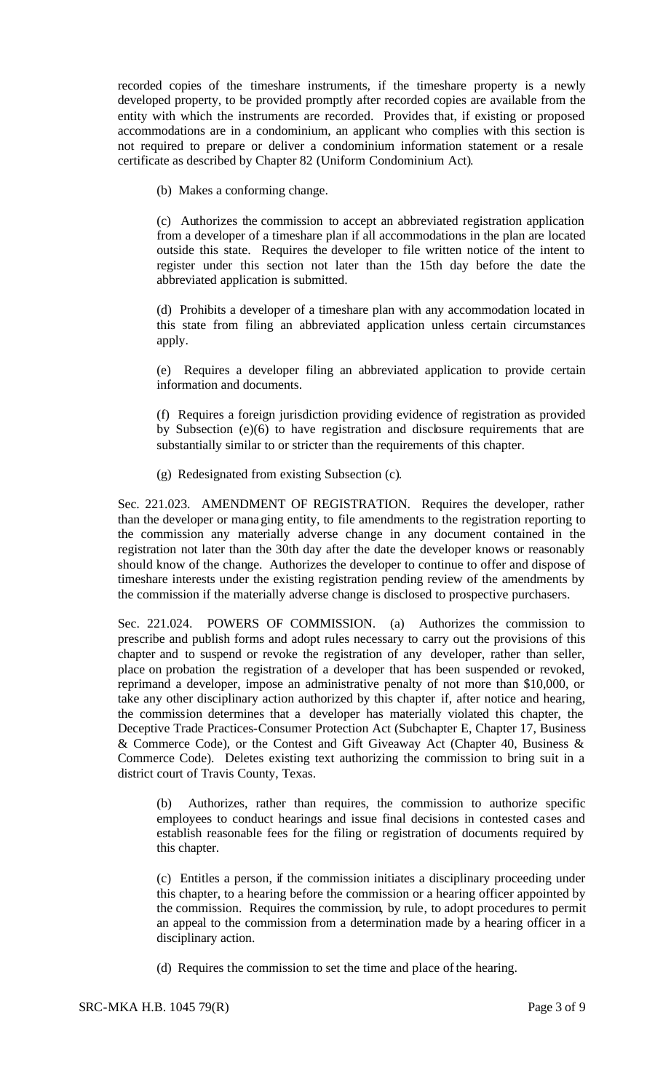recorded copies of the timeshare instruments, if the timeshare property is a newly developed property, to be provided promptly after recorded copies are available from the entity with which the instruments are recorded. Provides that, if existing or proposed accommodations are in a condominium, an applicant who complies with this section is not required to prepare or deliver a condominium information statement or a resale certificate as described by Chapter 82 (Uniform Condominium Act).

(b) Makes a conforming change.

(c) Authorizes the commission to accept an abbreviated registration application from a developer of a timeshare plan if all accommodations in the plan are located outside this state. Requires the developer to file written notice of the intent to register under this section not later than the 15th day before the date the abbreviated application is submitted.

(d) Prohibits a developer of a timeshare plan with any accommodation located in this state from filing an abbreviated application unless certain circumstances apply.

(e) Requires a developer filing an abbreviated application to provide certain information and documents.

(f) Requires a foreign jurisdiction providing evidence of registration as provided by Subsection (e)(6) to have registration and disclosure requirements that are substantially similar to or stricter than the requirements of this chapter.

(g) Redesignated from existing Subsection (c).

Sec. 221.023. AMENDMENT OF REGISTRATION. Requires the developer, rather than the developer or managing entity, to file amendments to the registration reporting to the commission any materially adverse change in any document contained in the registration not later than the 30th day after the date the developer knows or reasonably should know of the change. Authorizes the developer to continue to offer and dispose of timeshare interests under the existing registration pending review of the amendments by the commission if the materially adverse change is disclosed to prospective purchasers.

Sec. 221.024. POWERS OF COMMISSION. (a) Authorizes the commission to prescribe and publish forms and adopt rules necessary to carry out the provisions of this chapter and to suspend or revoke the registration of any developer, rather than seller, place on probation the registration of a developer that has been suspended or revoked, reprimand a developer, impose an administrative penalty of not more than \$10,000, or take any other disciplinary action authorized by this chapter if, after notice and hearing, the commission determines that a developer has materially violated this chapter, the Deceptive Trade Practices-Consumer Protection Act (Subchapter E, Chapter 17, Business & Commerce Code), or the Contest and Gift Giveaway Act (Chapter 40, Business & Commerce Code). Deletes existing text authorizing the commission to bring suit in a district court of Travis County, Texas.

(b) Authorizes, rather than requires, the commission to authorize specific employees to conduct hearings and issue final decisions in contested cases and establish reasonable fees for the filing or registration of documents required by this chapter.

(c) Entitles a person, if the commission initiates a disciplinary proceeding under this chapter, to a hearing before the commission or a hearing officer appointed by the commission. Requires the commission, by rule, to adopt procedures to permit an appeal to the commission from a determination made by a hearing officer in a disciplinary action.

(d) Requires the commission to set the time and place of the hearing.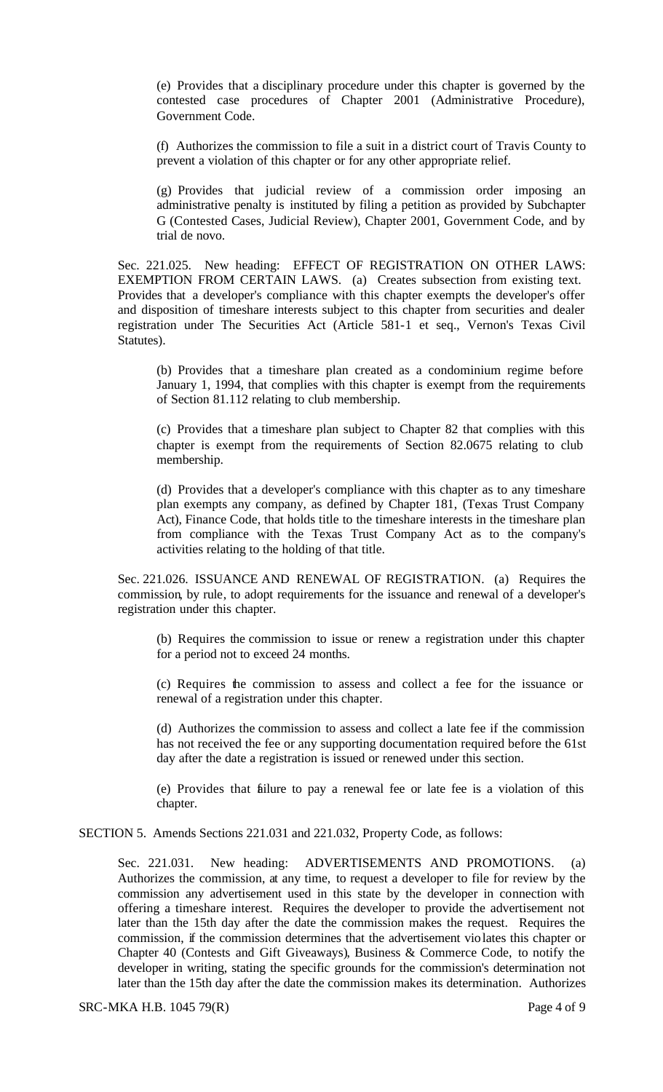(e) Provides that a disciplinary procedure under this chapter is governed by the contested case procedures of Chapter 2001 (Administrative Procedure), Government Code.

(f) Authorizes the commission to file a suit in a district court of Travis County to prevent a violation of this chapter or for any other appropriate relief.

(g) Provides that judicial review of a commission order imposing an administrative penalty is instituted by filing a petition as provided by Subchapter G (Contested Cases, Judicial Review), Chapter 2001, Government Code, and by trial de novo.

Sec. 221.025. New heading: EFFECT OF REGISTRATION ON OTHER LAWS: EXEMPTION FROM CERTAIN LAWS. (a) Creates subsection from existing text. Provides that a developer's compliance with this chapter exempts the developer's offer and disposition of timeshare interests subject to this chapter from securities and dealer registration under The Securities Act (Article 581-1 et seq., Vernon's Texas Civil Statutes).

(b) Provides that a timeshare plan created as a condominium regime before January 1, 1994, that complies with this chapter is exempt from the requirements of Section 81.112 relating to club membership.

(c) Provides that a timeshare plan subject to Chapter 82 that complies with this chapter is exempt from the requirements of Section 82.0675 relating to club membership.

(d) Provides that a developer's compliance with this chapter as to any timeshare plan exempts any company, as defined by Chapter 181, (Texas Trust Company Act), Finance Code, that holds title to the timeshare interests in the timeshare plan from compliance with the Texas Trust Company Act as to the company's activities relating to the holding of that title.

Sec. 221.026. ISSUANCE AND RENEWAL OF REGISTRATION. (a) Requires the commission, by rule, to adopt requirements for the issuance and renewal of a developer's registration under this chapter.

(b) Requires the commission to issue or renew a registration under this chapter for a period not to exceed 24 months.

(c) Requires the commission to assess and collect a fee for the issuance or renewal of a registration under this chapter.

(d) Authorizes the commission to assess and collect a late fee if the commission has not received the fee or any supporting documentation required before the 61st day after the date a registration is issued or renewed under this section.

(e) Provides that failure to pay a renewal fee or late fee is a violation of this chapter.

SECTION 5. Amends Sections 221.031 and 221.032, Property Code, as follows:

Sec. 221.031. New heading: ADVERTISEMENTS AND PROMOTIONS. (a) Authorizes the commission, at any time, to request a developer to file for review by the commission any advertisement used in this state by the developer in connection with offering a timeshare interest. Requires the developer to provide the advertisement not later than the 15th day after the date the commission makes the request. Requires the commission, if the commission determines that the advertisement violates this chapter or Chapter 40 (Contests and Gift Giveaways), Business & Commerce Code, to notify the developer in writing, stating the specific grounds for the commission's determination not later than the 15th day after the date the commission makes its determination. Authorizes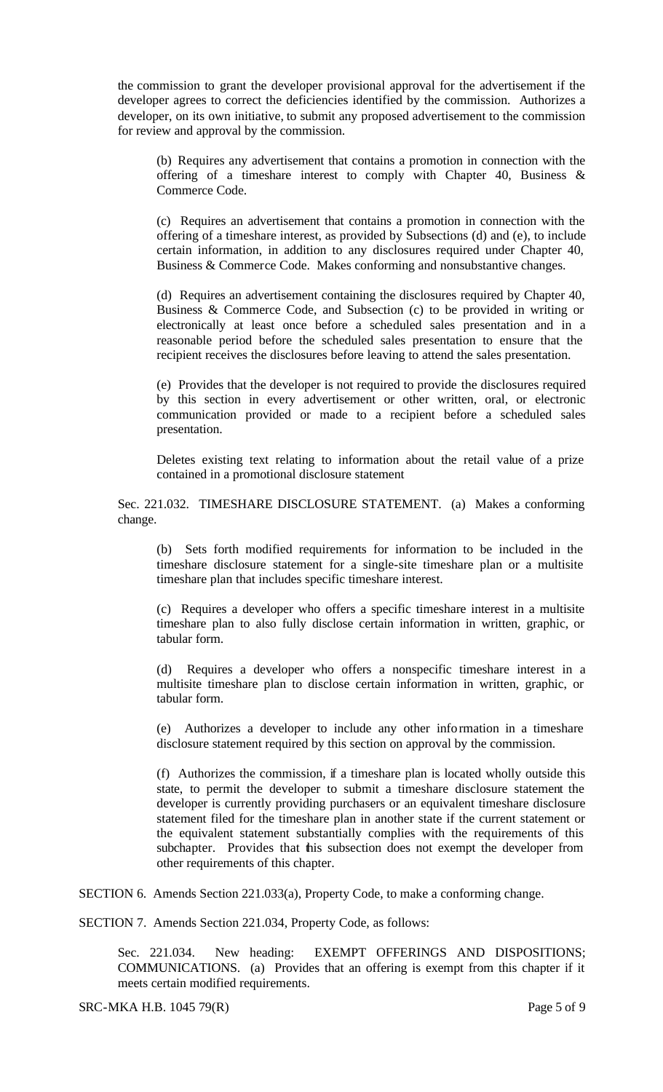the commission to grant the developer provisional approval for the advertisement if the developer agrees to correct the deficiencies identified by the commission. Authorizes a developer, on its own initiative, to submit any proposed advertisement to the commission for review and approval by the commission.

(b) Requires any advertisement that contains a promotion in connection with the offering of a timeshare interest to comply with Chapter 40, Business & Commerce Code.

(c) Requires an advertisement that contains a promotion in connection with the offering of a timeshare interest, as provided by Subsections (d) and (e), to include certain information, in addition to any disclosures required under Chapter 40, Business & Commerce Code. Makes conforming and nonsubstantive changes.

(d) Requires an advertisement containing the disclosures required by Chapter 40, Business & Commerce Code, and Subsection (c) to be provided in writing or electronically at least once before a scheduled sales presentation and in a reasonable period before the scheduled sales presentation to ensure that the recipient receives the disclosures before leaving to attend the sales presentation.

(e) Provides that the developer is not required to provide the disclosures required by this section in every advertisement or other written, oral, or electronic communication provided or made to a recipient before a scheduled sales presentation.

Deletes existing text relating to information about the retail value of a prize contained in a promotional disclosure statement

Sec. 221.032. TIMESHARE DISCLOSURE STATEMENT. (a) Makes a conforming change.

(b) Sets forth modified requirements for information to be included in the timeshare disclosure statement for a single-site timeshare plan or a multisite timeshare plan that includes specific timeshare interest.

(c) Requires a developer who offers a specific timeshare interest in a multisite timeshare plan to also fully disclose certain information in written, graphic, or tabular form.

(d) Requires a developer who offers a nonspecific timeshare interest in a multisite timeshare plan to disclose certain information in written, graphic, or tabular form.

(e) Authorizes a developer to include any other information in a timeshare disclosure statement required by this section on approval by the commission.

(f) Authorizes the commission, if a timeshare plan is located wholly outside this state, to permit the developer to submit a timeshare disclosure statement the developer is currently providing purchasers or an equivalent timeshare disclosure statement filed for the timeshare plan in another state if the current statement or the equivalent statement substantially complies with the requirements of this subchapter. Provides that this subsection does not exempt the developer from other requirements of this chapter.

SECTION 6. Amends Section 221.033(a), Property Code, to make a conforming change.

SECTION 7. Amends Section 221.034, Property Code, as follows:

Sec. 221.034. New heading: EXEMPT OFFERINGS AND DISPOSITIONS; COMMUNICATIONS. (a) Provides that an offering is exempt from this chapter if it meets certain modified requirements.

SRC-MKA H.B. 1045 79(R) Page 5 of 9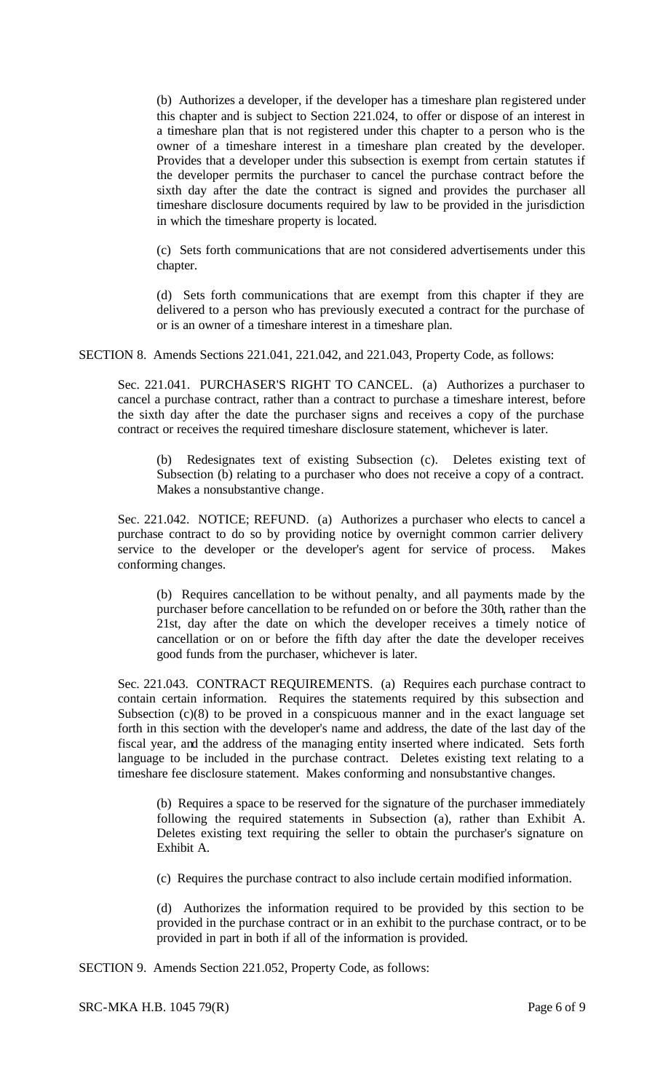(b) Authorizes a developer, if the developer has a timeshare plan registered under this chapter and is subject to Section 221.024, to offer or dispose of an interest in a timeshare plan that is not registered under this chapter to a person who is the owner of a timeshare interest in a timeshare plan created by the developer. Provides that a developer under this subsection is exempt from certain statutes if the developer permits the purchaser to cancel the purchase contract before the sixth day after the date the contract is signed and provides the purchaser all timeshare disclosure documents required by law to be provided in the jurisdiction in which the timeshare property is located.

(c) Sets forth communications that are not considered advertisements under this chapter.

(d) Sets forth communications that are exempt from this chapter if they are delivered to a person who has previously executed a contract for the purchase of or is an owner of a timeshare interest in a timeshare plan.

SECTION 8. Amends Sections 221.041, 221.042, and 221.043, Property Code, as follows:

Sec. 221.041. PURCHASER'S RIGHT TO CANCEL. (a) Authorizes a purchaser to cancel a purchase contract, rather than a contract to purchase a timeshare interest, before the sixth day after the date the purchaser signs and receives a copy of the purchase contract or receives the required timeshare disclosure statement, whichever is later.

(b) Redesignates text of existing Subsection (c). Deletes existing text of Subsection (b) relating to a purchaser who does not receive a copy of a contract. Makes a nonsubstantive change.

Sec. 221.042. NOTICE; REFUND. (a) Authorizes a purchaser who elects to cancel a purchase contract to do so by providing notice by overnight common carrier delivery service to the developer or the developer's agent for service of process. Makes conforming changes.

(b) Requires cancellation to be without penalty, and all payments made by the purchaser before cancellation to be refunded on or before the 30th, rather than the 21st, day after the date on which the developer receives a timely notice of cancellation or on or before the fifth day after the date the developer receives good funds from the purchaser, whichever is later.

Sec. 221.043. CONTRACT REQUIREMENTS. (a) Requires each purchase contract to contain certain information. Requires the statements required by this subsection and Subsection (c)(8) to be proved in a conspicuous manner and in the exact language set forth in this section with the developer's name and address, the date of the last day of the fiscal year, and the address of the managing entity inserted where indicated. Sets forth language to be included in the purchase contract. Deletes existing text relating to a timeshare fee disclosure statement. Makes conforming and nonsubstantive changes.

(b) Requires a space to be reserved for the signature of the purchaser immediately following the required statements in Subsection (a), rather than Exhibit A. Deletes existing text requiring the seller to obtain the purchaser's signature on Exhibit A.

(c) Requires the purchase contract to also include certain modified information.

(d) Authorizes the information required to be provided by this section to be provided in the purchase contract or in an exhibit to the purchase contract, or to be provided in part in both if all of the information is provided.

SECTION 9. Amends Section 221.052, Property Code, as follows:

SRC-MKA H.B. 1045 79(R) Page 6 of 9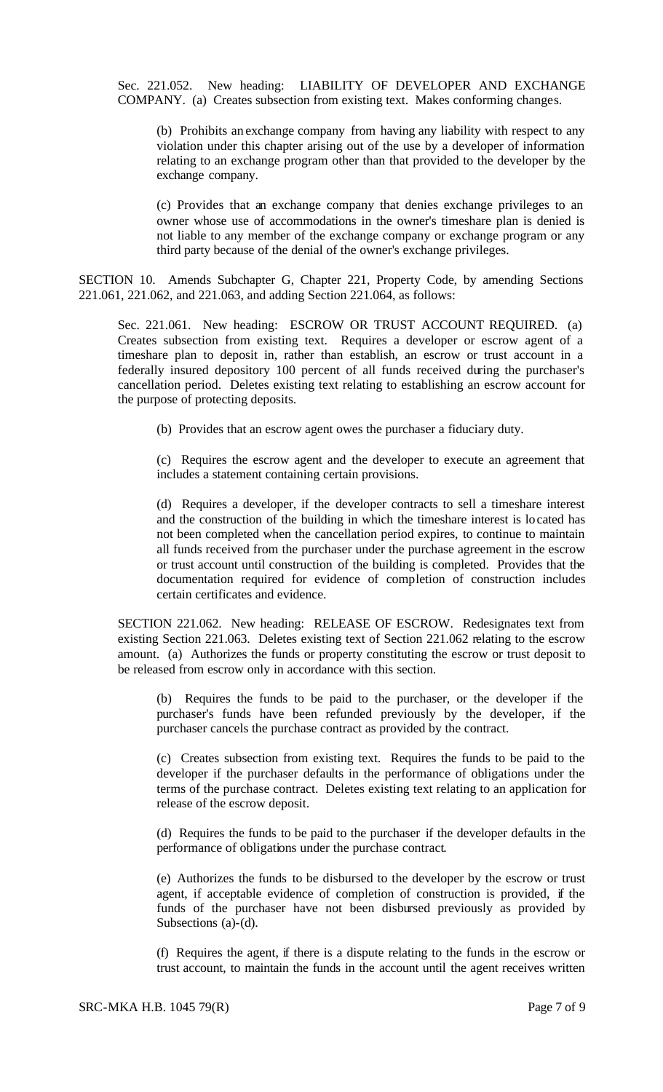Sec. 221.052. New heading: LIABILITY OF DEVELOPER AND EXCHANGE COMPANY. (a) Creates subsection from existing text. Makes conforming changes.

(b) Prohibits an exchange company from having any liability with respect to any violation under this chapter arising out of the use by a developer of information relating to an exchange program other than that provided to the developer by the exchange company.

(c) Provides that an exchange company that denies exchange privileges to an owner whose use of accommodations in the owner's timeshare plan is denied is not liable to any member of the exchange company or exchange program or any third party because of the denial of the owner's exchange privileges.

SECTION 10. Amends Subchapter G, Chapter 221, Property Code, by amending Sections 221.061, 221.062, and 221.063, and adding Section 221.064, as follows:

Sec. 221.061. New heading: ESCROW OR TRUST ACCOUNT REQUIRED. (a) Creates subsection from existing text. Requires a developer or escrow agent of a timeshare plan to deposit in, rather than establish, an escrow or trust account in a federally insured depository 100 percent of all funds received during the purchaser's cancellation period. Deletes existing text relating to establishing an escrow account for the purpose of protecting deposits.

(b) Provides that an escrow agent owes the purchaser a fiduciary duty.

(c) Requires the escrow agent and the developer to execute an agreement that includes a statement containing certain provisions.

(d) Requires a developer, if the developer contracts to sell a timeshare interest and the construction of the building in which the timeshare interest is located has not been completed when the cancellation period expires, to continue to maintain all funds received from the purchaser under the purchase agreement in the escrow or trust account until construction of the building is completed. Provides that the documentation required for evidence of completion of construction includes certain certificates and evidence.

SECTION 221.062. New heading: RELEASE OF ESCROW. Redesignates text from existing Section 221.063. Deletes existing text of Section 221.062 relating to the escrow amount. (a) Authorizes the funds or property constituting the escrow or trust deposit to be released from escrow only in accordance with this section.

(b) Requires the funds to be paid to the purchaser, or the developer if the purchaser's funds have been refunded previously by the developer, if the purchaser cancels the purchase contract as provided by the contract.

(c) Creates subsection from existing text. Requires the funds to be paid to the developer if the purchaser defaults in the performance of obligations under the terms of the purchase contract. Deletes existing text relating to an application for release of the escrow deposit.

(d) Requires the funds to be paid to the purchaser if the developer defaults in the performance of obligations under the purchase contract.

(e) Authorizes the funds to be disbursed to the developer by the escrow or trust agent, if acceptable evidence of completion of construction is provided, if the funds of the purchaser have not been disbursed previously as provided by Subsections (a)-(d).

(f) Requires the agent, if there is a dispute relating to the funds in the escrow or trust account, to maintain the funds in the account until the agent receives written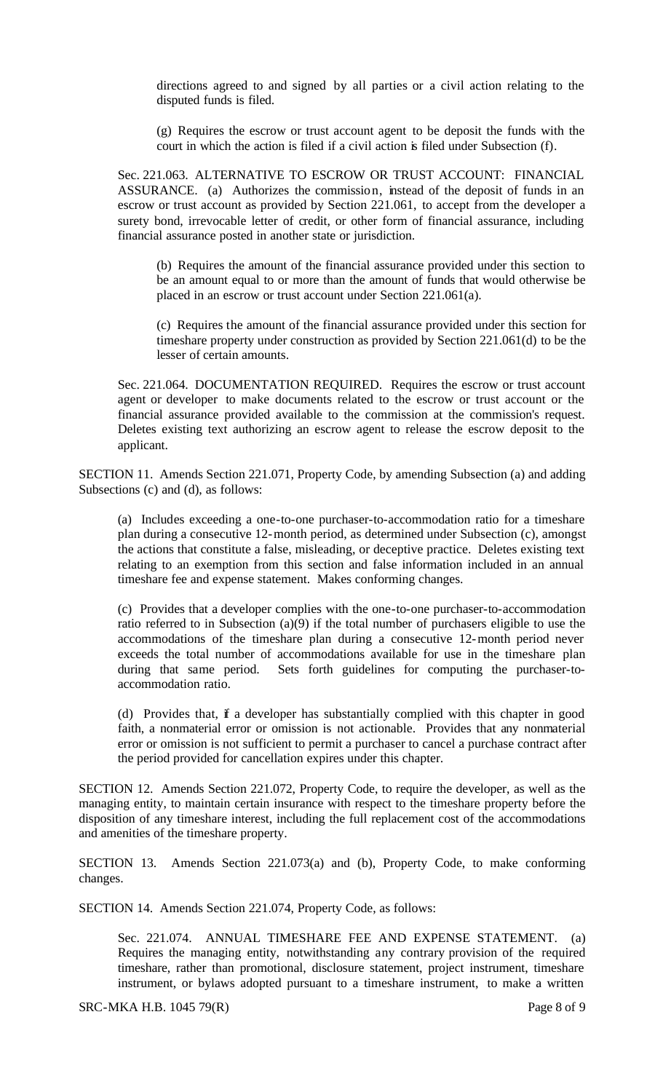directions agreed to and signed by all parties or a civil action relating to the disputed funds is filed.

(g) Requires the escrow or trust account agent to be deposit the funds with the court in which the action is filed if a civil action is filed under Subsection (f).

Sec. 221.063. ALTERNATIVE TO ESCROW OR TRUST ACCOUNT: FINANCIAL ASSURANCE. (a) Authorizes the commission, instead of the deposit of funds in an escrow or trust account as provided by Section 221.061, to accept from the developer a surety bond, irrevocable letter of credit, or other form of financial assurance, including financial assurance posted in another state or jurisdiction.

(b) Requires the amount of the financial assurance provided under this section to be an amount equal to or more than the amount of funds that would otherwise be placed in an escrow or trust account under Section 221.061(a).

(c) Requires the amount of the financial assurance provided under this section for timeshare property under construction as provided by Section 221.061(d) to be the lesser of certain amounts.

Sec. 221.064. DOCUMENTATION REQUIRED. Requires the escrow or trust account agent or developer to make documents related to the escrow or trust account or the financial assurance provided available to the commission at the commission's request. Deletes existing text authorizing an escrow agent to release the escrow deposit to the applicant.

SECTION 11. Amends Section 221.071, Property Code, by amending Subsection (a) and adding Subsections (c) and (d), as follows:

(a) Includes exceeding a one-to-one purchaser-to-accommodation ratio for a timeshare plan during a consecutive 12-month period, as determined under Subsection (c), amongst the actions that constitute a false, misleading, or deceptive practice. Deletes existing text relating to an exemption from this section and false information included in an annual timeshare fee and expense statement. Makes conforming changes.

(c) Provides that a developer complies with the one-to-one purchaser-to-accommodation ratio referred to in Subsection (a)(9) if the total number of purchasers eligible to use the accommodations of the timeshare plan during a consecutive 12-month period never exceeds the total number of accommodations available for use in the timeshare plan during that same period. Sets forth guidelines for computing the purchaser-toaccommodation ratio.

(d) Provides that, if a developer has substantially complied with this chapter in good faith, a nonmaterial error or omission is not actionable. Provides that any nonmaterial error or omission is not sufficient to permit a purchaser to cancel a purchase contract after the period provided for cancellation expires under this chapter.

SECTION 12. Amends Section 221.072, Property Code, to require the developer, as well as the managing entity, to maintain certain insurance with respect to the timeshare property before the disposition of any timeshare interest, including the full replacement cost of the accommodations and amenities of the timeshare property.

SECTION 13. Amends Section 221.073(a) and (b), Property Code, to make conforming changes.

SECTION 14. Amends Section 221.074, Property Code, as follows:

Sec. 221.074. ANNUAL TIMESHARE FEE AND EXPENSE STATEMENT. (a) Requires the managing entity, notwithstanding any contrary provision of the required timeshare, rather than promotional, disclosure statement, project instrument, timeshare instrument, or bylaws adopted pursuant to a timeshare instrument, to make a written

SRC-MKA H.B. 1045 79(R) Page 8 of 9